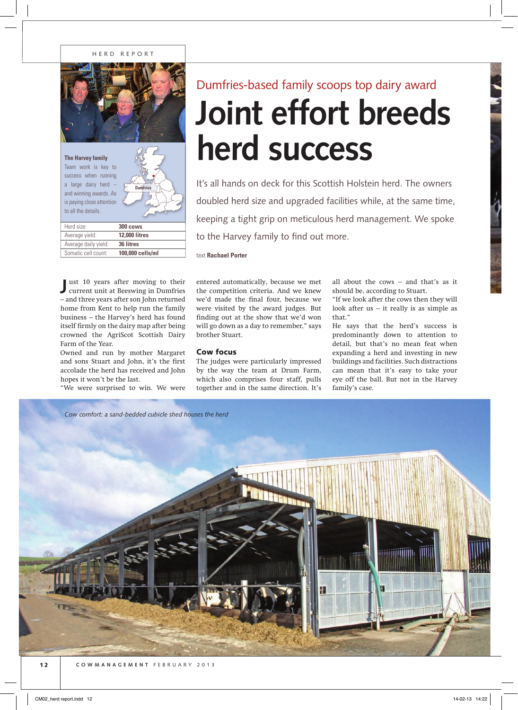

| Herd size:           | 300 cows             |
|----------------------|----------------------|
| Average yield:       | <b>12.000 litres</b> |
| Average daily yield: | 36 litres            |
| Somatic cell count:  | 100,000 cells/ml     |

**J** current unit at Beeswing in Dumfries ust 10 years after moving to their – and three years after son John returned home from Kent to help run the family business – the Harvey's herd has found itself firmly on the dairy map after being crowned the AgriScot Scottish Dairy Farm of the Year.

Owned and run by mother Margaret and sons Stuart and John, it's the first accolade the herd has received and John hopes it won't be the last.

"We were surprised to win. We were

## **Joint effort breeds herd success** Dumfries-based family scoops top dairy award

It's all hands on deck for this Scottish Holstein herd. The owners doubled herd size and upgraded facilities while, at the same time, keeping a tight grip on meticulous herd management. We spoke to the Harvey family to find out more.

text **Rachael Porter**

entered automatically, because we met the competition criteria. And we knew we'd made the final four, because we were visited by the award judges. But finding out at the show that we'd won will go down as a day to remember," says brother Stuart.

## Cow focus

The judges were particularly impressed by the way the team at Drum Farm, which also comprises four staff, pulls together and in the same direction. It's all about the cows – and that's as it should be, according to Stuart.

"If we look after the cows then they will look after us  $-$  it really is as simple as that."

He says that the herd's success is predominantly down to attention to detail, but that's no mean feat when expanding a herd and investing in new buildings and facilities. Such distractions can mean that it's easy to take your eye off the ball. But not in the Harvey family's case.